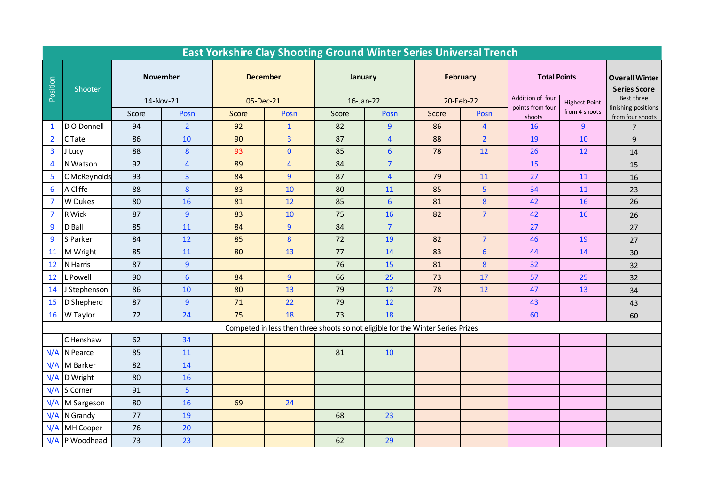| <b>East Yorkshire Clay Shooting Ground Winter Series Universal Trench</b> |                                                                                 |           |                         |                 |                |           |                 |           |                |                            |                      |                                              |
|---------------------------------------------------------------------------|---------------------------------------------------------------------------------|-----------|-------------------------|-----------------|----------------|-----------|-----------------|-----------|----------------|----------------------------|----------------------|----------------------------------------------|
| Position                                                                  | Shooter                                                                         | November  |                         | <b>December</b> |                | January   |                 | February  |                | <b>Total Points</b>        |                      | <b>Overall Winter</b><br><b>Series Score</b> |
|                                                                           |                                                                                 | 14-Nov-21 |                         | 05-Dec-21       |                | 16-Jan-22 |                 | 20-Feb-22 |                | Addition of four           | <b>Highest Point</b> | Best three                                   |
|                                                                           |                                                                                 | Score     | Posn                    | Score           | Posn           | Score     | Posn            | Score     | Posn           | points from four<br>shoots | from 4 shoots        | finishing positions<br>from four shoots      |
| $\mathbf{1}$                                                              | D O'Donnell                                                                     | 94        | $\overline{2}$          | 92              | $\mathbf{1}$   | 82        | $\overline{9}$  | 86        | $\overline{4}$ | 16                         | $\overline{9}$       | $\overline{7}$                               |
| $\overline{2}$                                                            | C Tate                                                                          | 86        | 10                      | 90              | $\overline{3}$ | 87        | $\overline{4}$  | 88        | 2 <sup>2</sup> | 19                         | 10                   | 9                                            |
| $\overline{\mathbf{3}}$                                                   | J Lucy                                                                          | 88        | 8                       | 93              | $\overline{0}$ | 85        | $6\overline{6}$ | 78        | 12             | 26                         | 12                   | 14                                           |
| $\overline{4}$                                                            | N Watson                                                                        | 92        | $\overline{\mathbf{4}}$ | 89              | $\overline{4}$ | 84        | $\overline{7}$  |           |                | 15                         |                      | 15                                           |
| 5                                                                         | C McReynolds                                                                    | 93        | 3                       | 84              | 9              | 87        | $\overline{4}$  | 79        | 11             | 27                         | 11                   | 16                                           |
| 6                                                                         | A Cliffe                                                                        | 88        | 8                       | 83              | 10             | 80        | 11              | 85        | 5              | 34                         | 11                   | 23                                           |
| $\overline{7}$                                                            | W Dukes                                                                         | 80        | 16                      | 81              | 12             | 85        | $6\overline{6}$ | 81        | 8              | 42                         | 16                   | 26                                           |
| $\overline{7}$                                                            | R Wick                                                                          | 87        | $\overline{9}$          | 83              | 10             | 75        | 16              | 82        | $\overline{7}$ | 42                         | 16                   | 26                                           |
| $\overline{9}$                                                            | D Ball                                                                          | 85        | 11                      | 84              | 9              | 84        | $\overline{7}$  |           |                | 27                         |                      | 27                                           |
| 9                                                                         | S Parker                                                                        | 84        | 12                      | 85              | 8              | 72        | 19              | 82        | $\overline{7}$ | 46                         | 19                   | 27                                           |
| 11                                                                        | M Wright                                                                        | 85        | 11                      | 80              | 13             | 77        | 14              | 83        | $6\phantom{a}$ | 44                         | 14                   | 30                                           |
| 12                                                                        | N Harris                                                                        | 87        | 9                       |                 |                | 76        | 15              | 81        | 8              | 32                         |                      | 32                                           |
| 12                                                                        | L Powell                                                                        | 90        | $6\phantom{1}6$         | 84              | 9 <sup>°</sup> | 66        | 25              | 73        | 17             | 57                         | 25                   | 32                                           |
| 14                                                                        | J Stephenson                                                                    | 86        | 10                      | 80              | 13             | 79        | 12              | 78        | 12             | 47                         | 13                   | 34                                           |
| 15                                                                        | D Shepherd                                                                      | 87        | $\overline{9}$          | 71              | 22             | 79        | 12              |           |                | 43                         |                      | 43                                           |
| 16                                                                        | W Taylor                                                                        | 72        | 24                      | 75              | 18             | 73        | 18              |           |                | 60                         |                      | 60                                           |
|                                                                           | Competed in less then three shoots so not eligible for the Winter Series Prizes |           |                         |                 |                |           |                 |           |                |                            |                      |                                              |
|                                                                           | C Henshaw                                                                       | 62        | 34                      |                 |                |           |                 |           |                |                            |                      |                                              |
| N/A                                                                       | N Pearce                                                                        | 85        | 11                      |                 |                | 81        | 10              |           |                |                            |                      |                                              |
|                                                                           | N/A M Barker                                                                    | 82        | 14                      |                 |                |           |                 |           |                |                            |                      |                                              |
|                                                                           | $N/A$ D Wright                                                                  | 80        | 16                      |                 |                |           |                 |           |                |                            |                      |                                              |
|                                                                           | N/A S Corner                                                                    | 91        | 5                       |                 |                |           |                 |           |                |                            |                      |                                              |
|                                                                           | N/A M Sargeson                                                                  | 80        | 16                      | 69              | 24             |           |                 |           |                |                            |                      |                                              |
|                                                                           | $N/A$ N Grandy                                                                  | 77        | 19                      |                 |                | 68        | 23              |           |                |                            |                      |                                              |
| N/A                                                                       | MH Cooper                                                                       | 76        | 20                      |                 |                |           |                 |           |                |                            |                      |                                              |
|                                                                           | N/A P Woodhead                                                                  | 73        | 23                      |                 |                | 62        | 29              |           |                |                            |                      |                                              |